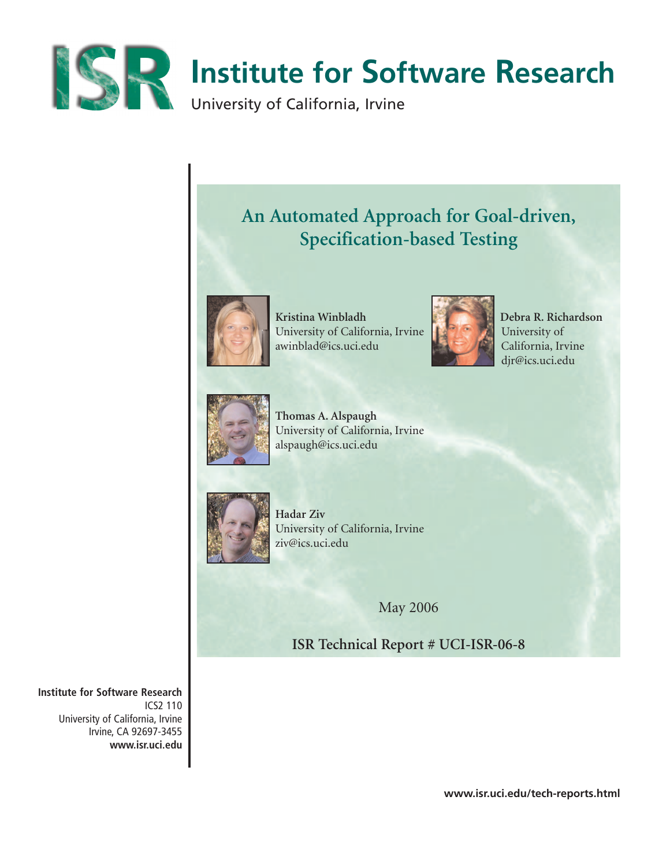

# **Institute for Software Research**

University of California, Irvine

## **An Automated Approach for Goal-driven, Specification-based Testing**



**Kristina Winbladh Debra R. Richardson**  University of California, Irvine **University of** University of awinblad@ics.uci.edu California, Irvine



djr@ics.uci.edu



**Thomas A. Alspaugh** University of California, Irvine alspaugh@ics.uci.edu



**Hadar Ziv** University of California, Irvine ziv@ics.uci.edu

May 2006

**ISR Technical Report # UCI-ISR-06-8**

**Institute for Software Research** ICS2 110 University of California, Irvine Irvine, CA 92697-3455 **www.isr.uci.edu**

**www.isr.uci.edu/tech-reports.html**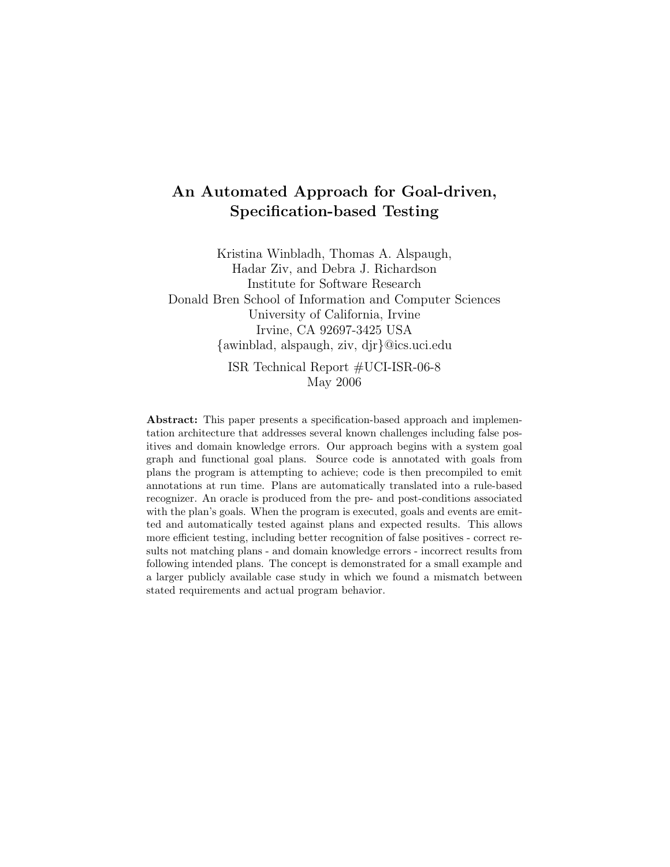## An Automated Approach for Goal-driven, Specification-based Testing

Kristina Winbladh, Thomas A. Alspaugh, Hadar Ziv, and Debra J. Richardson Institute for Software Research Donald Bren School of Information and Computer Sciences University of California, Irvine Irvine, CA 92697-3425 USA {awinblad, alspaugh, ziv, djr}@ics.uci.edu ISR Technical Report #UCI-ISR-06-8 May 2006

Abstract: This paper presents a specification-based approach and implementation architecture that addresses several known challenges including false positives and domain knowledge errors. Our approach begins with a system goal graph and functional goal plans. Source code is annotated with goals from plans the program is attempting to achieve; code is then precompiled to emit annotations at run time. Plans are automatically translated into a rule-based recognizer. An oracle is produced from the pre- and post-conditions associated with the plan's goals. When the program is executed, goals and events are emitted and automatically tested against plans and expected results. This allows more efficient testing, including better recognition of false positives - correct results not matching plans - and domain knowledge errors - incorrect results from following intended plans. The concept is demonstrated for a small example and a larger publicly available case study in which we found a mismatch between stated requirements and actual program behavior.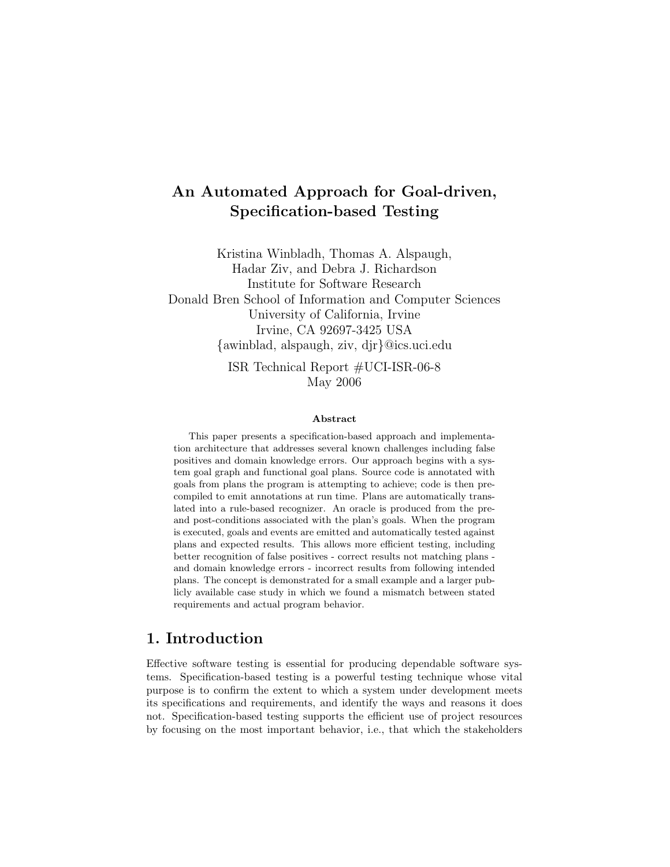## An Automated Approach for Goal-driven, Specification-based Testing

Kristina Winbladh, Thomas A. Alspaugh, Hadar Ziv, and Debra J. Richardson Institute for Software Research Donald Bren School of Information and Computer Sciences University of California, Irvine Irvine, CA 92697-3425 USA {awinblad, alspaugh, ziv, djr}@ics.uci.edu ISR Technical Report #UCI-ISR-06-8

May 2006

#### Abstract

This paper presents a specification-based approach and implementation architecture that addresses several known challenges including false positives and domain knowledge errors. Our approach begins with a system goal graph and functional goal plans. Source code is annotated with goals from plans the program is attempting to achieve; code is then precompiled to emit annotations at run time. Plans are automatically translated into a rule-based recognizer. An oracle is produced from the preand post-conditions associated with the plan's goals. When the program is executed, goals and events are emitted and automatically tested against plans and expected results. This allows more efficient testing, including better recognition of false positives - correct results not matching plans and domain knowledge errors - incorrect results from following intended plans. The concept is demonstrated for a small example and a larger publicly available case study in which we found a mismatch between stated requirements and actual program behavior.

## 1. Introduction

Effective software testing is essential for producing dependable software systems. Specification-based testing is a powerful testing technique whose vital purpose is to confirm the extent to which a system under development meets its specifications and requirements, and identify the ways and reasons it does not. Specification-based testing supports the efficient use of project resources by focusing on the most important behavior, i.e., that which the stakeholders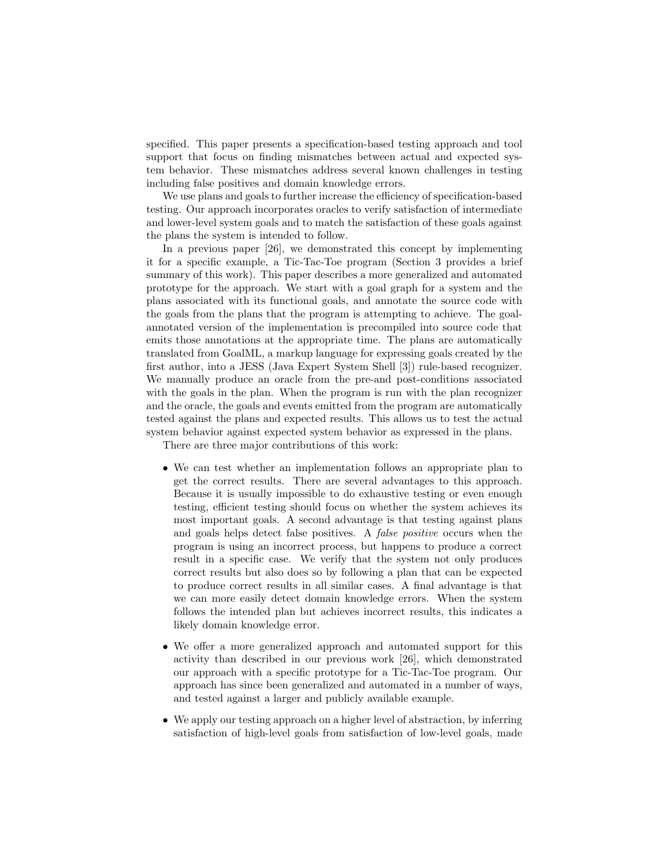specified. This paper presents a specification-based testing approach and tool support that focus on finding mismatches between actual and expected system behavior. These mismatches address several known challenges in testing including false positives and domain knowledge errors.

We use plans and goals to further increase the efficiency of specification-based testing. Our approach incorporates oracles to verify satisfaction of intermediate and lower-level system goals and to match the satisfaction of these goals against the plans the system is intended to follow.

In a previous paper [26], we demonstrated this concept by implementing it for a specific example, a Tic-Tac-Toe program (Section 3 provides a brief summary of this work). This paper describes a more generalized and automated prototype for the approach. We start with a goal graph for a system and the plans associated with its functional goals, and annotate the source code with the goals from the plans that the program is attempting to achieve. The goalannotated version of the implementation is precompiled into source code that emits those annotations at the appropriate time. The plans are automatically translated from GoalML, a markup language for expressing goals created by the first author, into a JESS (Java Expert System Shell [3]) rule-based recognizer. We manually produce an oracle from the pre-and post-conditions associated with the goals in the plan. When the program is run with the plan recognizer and the oracle, the goals and events emitted from the program are automatically tested against the plans and expected results. This allows us to test the actual system behavior against expected system behavior as expressed in the plans.

There are three major contributions of this work:

- We can test whether an implementation follows an appropriate plan to get the correct results. There are several advantages to this approach. Because it is usually impossible to do exhaustive testing or even enough testing, efficient testing should focus on whether the system achieves its most important goals. A second advantage is that testing against plans and goals helps detect false positives. A false positive occurs when the program is using an incorrect process, but happens to produce a correct result in a specific case. We verify that the system not only produces correct results but also does so by following a plan that can be expected to produce correct results in all similar cases. A final advantage is that we can more easily detect domain knowledge errors. When the system follows the intended plan but achieves incorrect results, this indicates a likely domain knowledge error.
- We offer a more generalized approach and automated support for this activity than described in our previous work [26], which demonstrated our approach with a specific prototype for a Tic-Tac-Toe program. Our approach has since been generalized and automated in a number of ways, and tested against a larger and publicly available example.
- We apply our testing approach on a higher level of abstraction, by inferring satisfaction of high-level goals from satisfaction of low-level goals, made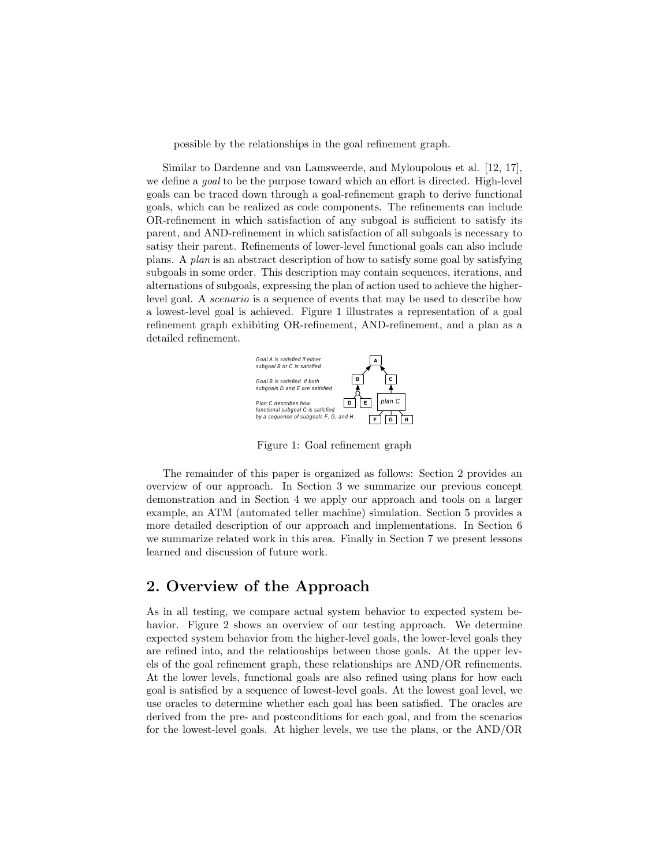possible by the relationships in the goal refinement graph.

Similar to Dardenne and van Lamsweerde, and Myloupolous et al. [12, 17], we define a goal to be the purpose toward which an effort is directed. High-level goals can be traced down through a goal-refinement graph to derive functional goals, which can be realized as code components. The refinements can include OR-refinement in which satisfaction of any subgoal is sufficient to satisfy its parent, and AND-refinement in which satisfaction of all subgoals is necessary to satisy their parent. Refinements of lower-level functional goals can also include plans. A plan is an abstract description of how to satisfy some goal by satisfying subgoals in some order. This description may contain sequences, iterations, and alternations of subgoals, expressing the plan of action used to achieve the higherlevel goal. A scenario is a sequence of events that may be used to describe how a lowest-level goal is achieved. Figure 1 illustrates a representation of a goal refinement graph exhibiting OR-refinement, AND-refinement, and a plan as a detailed refinement.



Figure 1: Goal refinement graph

The remainder of this paper is organized as follows: Section 2 provides an overview of our approach. In Section 3 we summarize our previous concept demonstration and in Section 4 we apply our approach and tools on a larger example, an ATM (automated teller machine) simulation. Section 5 provides a more detailed description of our approach and implementations. In Section 6 we summarize related work in this area. Finally in Section 7 we present lessons learned and discussion of future work.

## 2. Overview of the Approach

As in all testing, we compare actual system behavior to expected system behavior. Figure 2 shows an overview of our testing approach. We determine expected system behavior from the higher-level goals, the lower-level goals they are refined into, and the relationships between those goals. At the upper levels of the goal refinement graph, these relationships are AND/OR refinements. At the lower levels, functional goals are also refined using plans for how each goal is satisfied by a sequence of lowest-level goals. At the lowest goal level, we use oracles to determine whether each goal has been satisfied. The oracles are derived from the pre- and postconditions for each goal, and from the scenarios for the lowest-level goals. At higher levels, we use the plans, or the AND/OR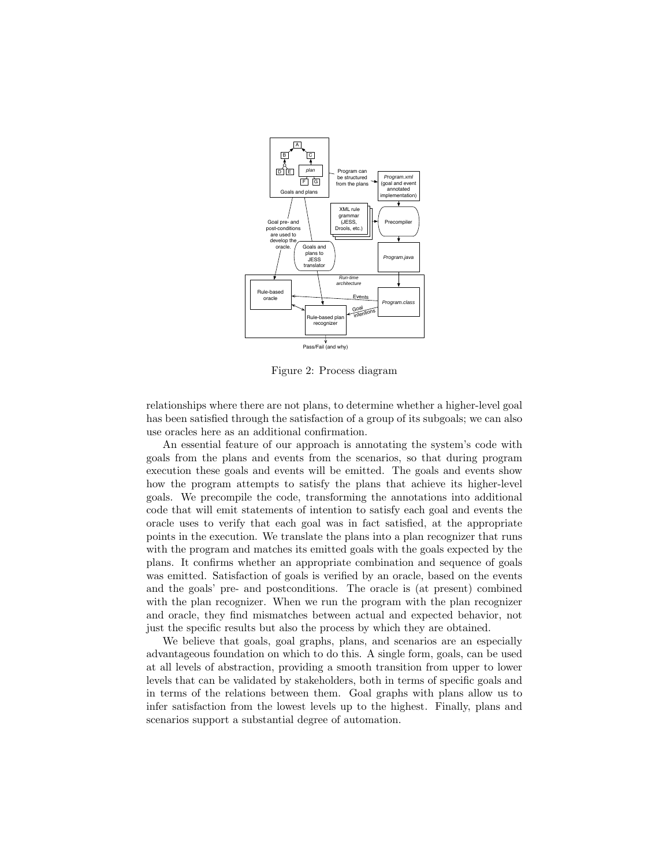

Figure 2: Process diagram

relationships where there are not plans, to determine whether a higher-level goal has been satisfied through the satisfaction of a group of its subgoals; we can also use oracles here as an additional confirmation.

An essential feature of our approach is annotating the system's code with goals from the plans and events from the scenarios, so that during program execution these goals and events will be emitted. The goals and events show how the program attempts to satisfy the plans that achieve its higher-level goals. We precompile the code, transforming the annotations into additional code that will emit statements of intention to satisfy each goal and events the oracle uses to verify that each goal was in fact satisfied, at the appropriate points in the execution. We translate the plans into a plan recognizer that runs with the program and matches its emitted goals with the goals expected by the plans. It confirms whether an appropriate combination and sequence of goals was emitted. Satisfaction of goals is verified by an oracle, based on the events and the goals' pre- and postconditions. The oracle is (at present) combined with the plan recognizer. When we run the program with the plan recognizer and oracle, they find mismatches between actual and expected behavior, not just the specific results but also the process by which they are obtained.

We believe that goals, goal graphs, plans, and scenarios are an especially advantageous foundation on which to do this. A single form, goals, can be used at all levels of abstraction, providing a smooth transition from upper to lower levels that can be validated by stakeholders, both in terms of specific goals and in terms of the relations between them. Goal graphs with plans allow us to infer satisfaction from the lowest levels up to the highest. Finally, plans and scenarios support a substantial degree of automation.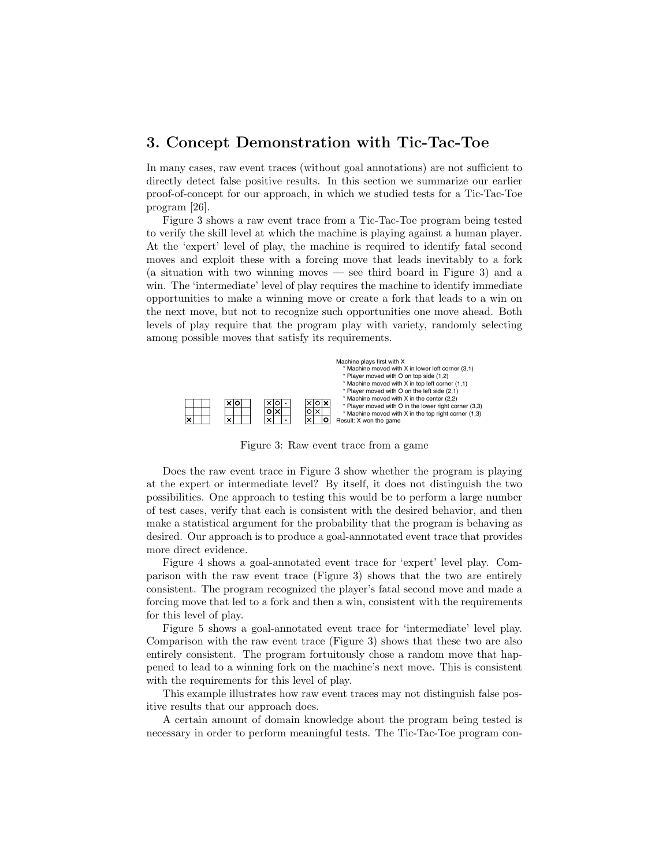## 3. Concept Demonstration with Tic-Tac-Toe

In many cases, raw event traces (without goal annotations) are not sufficient to directly detect false positive results. In this section we summarize our earlier proof-of-concept for our approach, in which we studied tests for a Tic-Tac-Toe program [26].

Figure 3 shows a raw event trace from a Tic-Tac-Toe program being tested to verify the skill level at which the machine is playing against a human player. At the 'expert' level of play, the machine is required to identify fatal second moves and exploit these with a forcing move that leads inevitably to a fork (a situation with two winning moves — see third board in Figure 3) and a win. The 'intermediate' level of play requires the machine to identify immediate opportunities to make a winning move or create a fork that leads to a win on the next move, but not to recognize such opportunities one move ahead. Both levels of play require that the program play with variety, randomly selecting among possible moves that satisfy its requirements.



Figure 3: Raw event trace from a game

Does the raw event trace in Figure 3 show whether the program is playing at the expert or intermediate level? By itself, it does not distinguish the two possibilities. One approach to testing this would be to perform a large number of test cases, verify that each is consistent with the desired behavior, and then make a statistical argument for the probability that the program is behaving as desired. Our approach is to produce a goal-annnotated event trace that provides more direct evidence.

Figure 4 shows a goal-annotated event trace for 'expert' level play. Comparison with the raw event trace (Figure 3) shows that the two are entirely consistent. The program recognized the player's fatal second move and made a forcing move that led to a fork and then a win, consistent with the requirements for this level of play.

Figure 5 shows a goal-annotated event trace for 'intermediate' level play. Comparison with the raw event trace (Figure 3) shows that these two are also entirely consistent. The program fortuitously chose a random move that happened to lead to a winning fork on the machine's next move. This is consistent with the requirements for this level of play.

This example illustrates how raw event traces may not distinguish false positive results that our approach does.

A certain amount of domain knowledge about the program being tested is necessary in order to perform meaningful tests. The Tic-Tac-Toe program con-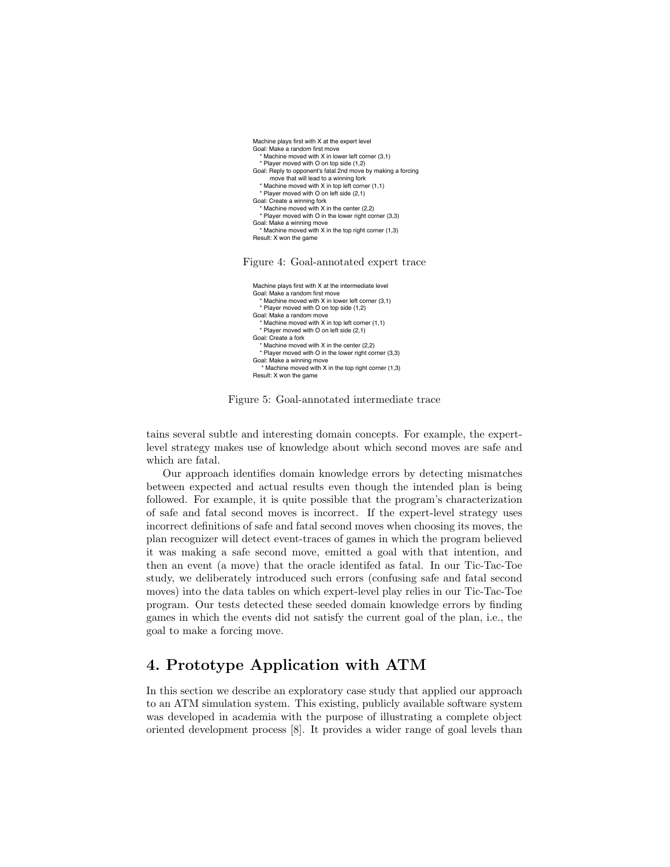

#### Figure 4: Goal-annotated expert trace

```
 Machine plays first with X at the intermediate level
 Goal: Make a random first move
    * Machine moved with X in lower left corner (3,1)
   * Player moved with O on top side (1,2)
 Goal: Make a random move
   * Machine moved with X in top left corner (1,1)
   * Player moved with O on left side (2,1)
 Goal: Create a fork
   * Machine moved with X in the center (2,2)
   * Player moved with O in the lower right corner (3,3)
 Goal: Make a winning move
     * Machine moved with X in the top right corner (1,3)
 Result: X won the game
```
Figure 5: Goal-annotated intermediate trace

tains several subtle and interesting domain concepts. For example, the expertlevel strategy makes use of knowledge about which second moves are safe and which are fatal.

Our approach identifies domain knowledge errors by detecting mismatches between expected and actual results even though the intended plan is being followed. For example, it is quite possible that the program's characterization of safe and fatal second moves is incorrect. If the expert-level strategy uses incorrect definitions of safe and fatal second moves when choosing its moves, the plan recognizer will detect event-traces of games in which the program believed it was making a safe second move, emitted a goal with that intention, and then an event (a move) that the oracle identifed as fatal. In our Tic-Tac-Toe study, we deliberately introduced such errors (confusing safe and fatal second moves) into the data tables on which expert-level play relies in our Tic-Tac-Toe program. Our tests detected these seeded domain knowledge errors by finding games in which the events did not satisfy the current goal of the plan, i.e., the goal to make a forcing move.

## 4. Prototype Application with ATM

In this section we describe an exploratory case study that applied our approach to an ATM simulation system. This existing, publicly available software system was developed in academia with the purpose of illustrating a complete object oriented development process [8]. It provides a wider range of goal levels than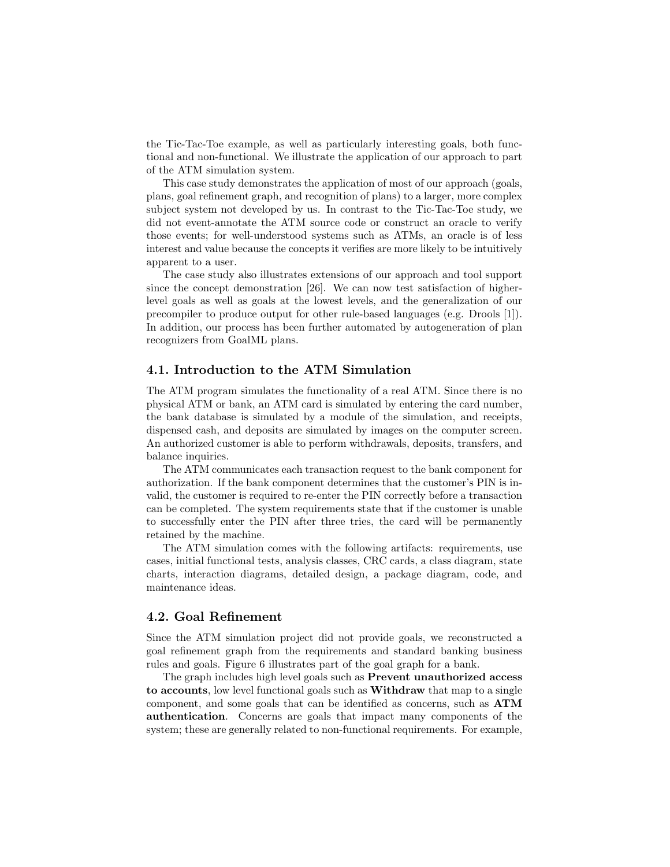the Tic-Tac-Toe example, as well as particularly interesting goals, both functional and non-functional. We illustrate the application of our approach to part of the ATM simulation system.

This case study demonstrates the application of most of our approach (goals, plans, goal refinement graph, and recognition of plans) to a larger, more complex subject system not developed by us. In contrast to the Tic-Tac-Toe study, we did not event-annotate the ATM source code or construct an oracle to verify those events; for well-understood systems such as ATMs, an oracle is of less interest and value because the concepts it verifies are more likely to be intuitively apparent to a user.

The case study also illustrates extensions of our approach and tool support since the concept demonstration [26]. We can now test satisfaction of higherlevel goals as well as goals at the lowest levels, and the generalization of our precompiler to produce output for other rule-based languages (e.g. Drools [1]). In addition, our process has been further automated by autogeneration of plan recognizers from GoalML plans.

#### 4.1. Introduction to the ATM Simulation

The ATM program simulates the functionality of a real ATM. Since there is no physical ATM or bank, an ATM card is simulated by entering the card number, the bank database is simulated by a module of the simulation, and receipts, dispensed cash, and deposits are simulated by images on the computer screen. An authorized customer is able to perform withdrawals, deposits, transfers, and balance inquiries.

The ATM communicates each transaction request to the bank component for authorization. If the bank component determines that the customer's PIN is invalid, the customer is required to re-enter the PIN correctly before a transaction can be completed. The system requirements state that if the customer is unable to successfully enter the PIN after three tries, the card will be permanently retained by the machine.

The ATM simulation comes with the following artifacts: requirements, use cases, initial functional tests, analysis classes, CRC cards, a class diagram, state charts, interaction diagrams, detailed design, a package diagram, code, and maintenance ideas.

#### 4.2. Goal Refinement

Since the ATM simulation project did not provide goals, we reconstructed a goal refinement graph from the requirements and standard banking business rules and goals. Figure 6 illustrates part of the goal graph for a bank.

The graph includes high level goals such as Prevent unauthorized access to accounts, low level functional goals such as Withdraw that map to a single component, and some goals that can be identified as concerns, such as ATM authentication. Concerns are goals that impact many components of the system; these are generally related to non-functional requirements. For example,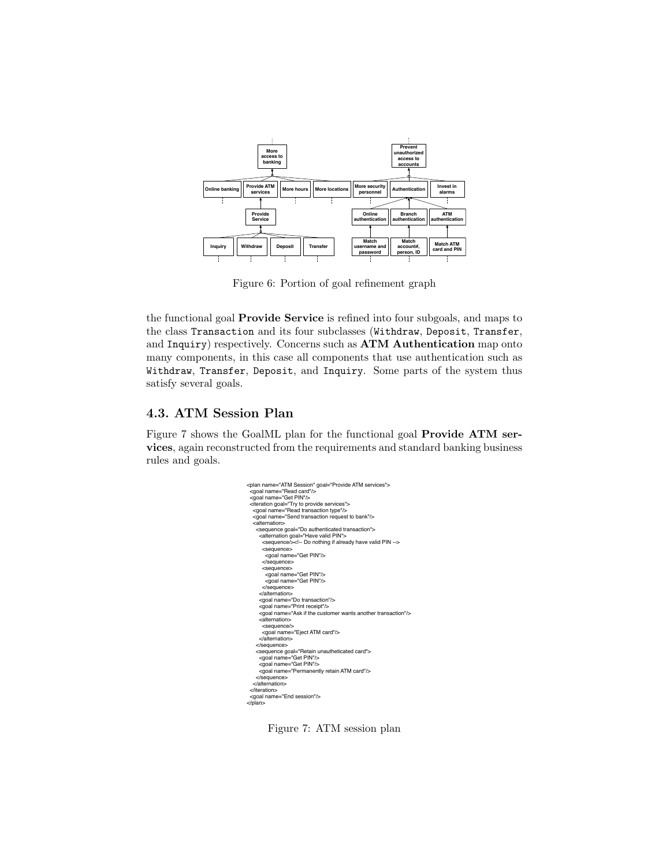

Figure 6: Portion of goal refinement graph

the functional goal Provide Service is refined into four subgoals, and maps to the class Transaction and its four subclasses (Withdraw, Deposit, Transfer, and Inquiry) respectively. Concerns such as ATM Authentication map onto many components, in this case all components that use authentication such as Withdraw, Transfer, Deposit, and Inquiry. Some parts of the system thus satisfy several goals.

#### 4.3. ATM Session Plan

Figure 7 shows the GoalML plan for the functional goal Provide ATM services, again reconstructed from the requirements and standard banking business rules and goals.

```
<plan name="ATM Session" goal="Provide ATM services">
  <goal name="Read card"/>
 <goal name="Get PIN"/>
 <iteration goal="Try to provide services">
 <goal name="Read transaction type"/>
 <goal name="Send transaction request to bank"/>
 <alternation>
<sequence goal="Do authenticated transaction"><br>
<alternation goal="Have valid PIN"><br>
<sequence/><!-- Do nothing if already have valid PIN --><br>
<sequence/><br>
</asequence "Get PIN"/><br>
</ayaal name="Get PIN"/>
 </sequence>
 <sequence>
 <goal name="Get PIN"/>
 <goal name="Get PIN"/>
           </sequence>
         </alternation>
         <goal name="Do transaction"/>
 <goal name="Print receipt"/>
 <goal name="Ask if the customer wants another transaction"/>
         <alternation>
<sequence/><br><goal name="Eject ATM card"/><br></alternation>
        </sequence>
 <sequence goal="Retain unautheticated card">
 <goal name="Get PIN"/>
 <goal name="Get PIN"/>
 <goal name="Permanently retain ATM card"/>
       </sequence>
     </alternation>
  </iteration>
  <goal name="End session"/>
</plan>
```
Figure 7: ATM session plan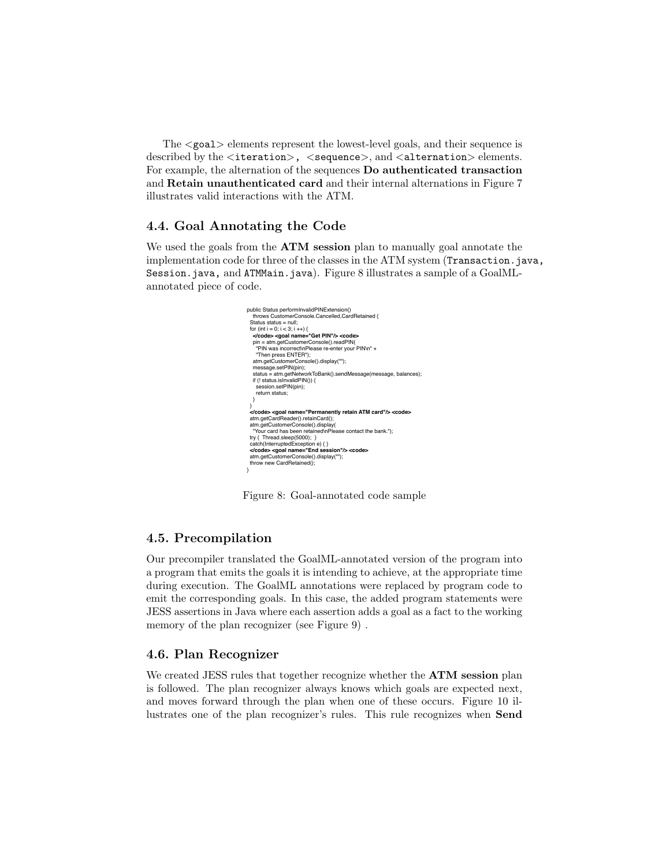The <goal> elements represent the lowest-level goals, and their sequence is described by the <iteration>, <sequence>, and <alternation> elements. For example, the alternation of the sequences Do authenticated transaction and Retain unauthenticated card and their internal alternations in Figure 7 illustrates valid interactions with the ATM.

#### 4.4. Goal Annotating the Code

We used the goals from the **ATM** session plan to manually goal annotate the implementation code for three of the classes in the ATM system (Transaction.java, Session.java, and ATMMain.java). Figure 8 illustrates a sample of a GoalMLannotated piece of code.



Figure 8: Goal-annotated code sample

#### 4.5. Precompilation

Our precompiler translated the GoalML-annotated version of the program into a program that emits the goals it is intending to achieve, at the appropriate time during execution. The GoalML annotations were replaced by program code to emit the corresponding goals. In this case, the added program statements were JESS assertions in Java where each assertion adds a goal as a fact to the working memory of the plan recognizer (see Figure 9) .

#### 4.6. Plan Recognizer

We created JESS rules that together recognize whether the **ATM** session plan is followed. The plan recognizer always knows which goals are expected next, and moves forward through the plan when one of these occurs. Figure 10 illustrates one of the plan recognizer's rules. This rule recognizes when Send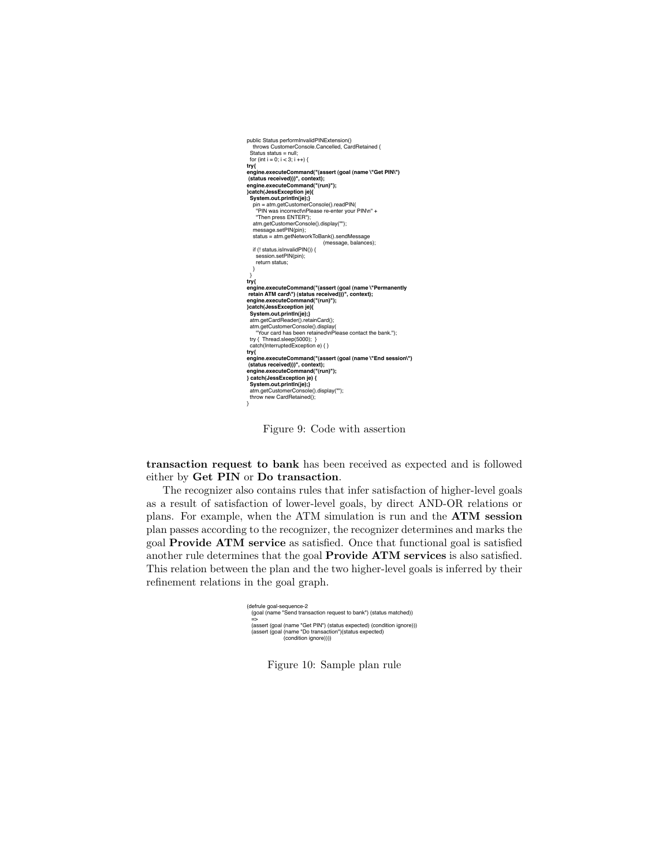| public Status performInvalidPINExtension()                  |
|-------------------------------------------------------------|
| throws CustomerConsole.Cancelled, CardRetained {            |
| Status status = null:                                       |
| for (int i = 0; i < 3; i ++) {                              |
| try{                                                        |
| engine.executeCommand("(assert (goal (name \"Get PIN\")     |
| (status received)))", context);                             |
| engine.executeCommand("(run)");                             |
| }catch(JessException je){                                   |
| System.out.println(je);}                                    |
| pin = atm.getCustomerConsole().readPIN(                     |
| "PIN was incorrect/nPlease re-enter your PIN/n" +           |
| "Then press ENTER");                                        |
| atm.getCustomerConsole().display("");                       |
| message.setPIN(pin);                                        |
| status = atm.getNetworkToBank().sendMessage                 |
| (message, balances);                                        |
| if (! status.islnvalidPIN()) {                              |
| session.setPIN(pin);                                        |
| return status:                                              |
| }                                                           |
| λ<br>try{                                                   |
| engine.executeCommand("(assert (goal (name \"Permanently    |
| retain ATM card\") (status received)))", context);          |
| engine.executeCommand("(run)"):                             |
| }catch(JessException je){                                   |
| System.out.println(je);}                                    |
| atm.getCardReader().retainCard();                           |
| atm.getCustomerConsole().display(                           |
| "Your card has been retained\nPlease contact the bank."):   |
| try { Thread.sleep(5000); }                                 |
| catch(InterruptedException e) { }                           |
| try{                                                        |
| engine.executeCommand("(assert (goal (name \"End session\") |
| (status received)))", context);                             |
| engine.executeCommand("(run)");                             |
| } catch(JessException je) {                                 |
| System.out.println(je);}                                    |
| atm.getCustomerConsole().display("");                       |
| throw new CardRetained();                                   |
|                                                             |

Figure 9: Code with assertion

transaction request to bank has been received as expected and is followed either by Get PIN or Do transaction.

The recognizer also contains rules that infer satisfaction of higher-level goals as a result of satisfaction of lower-level goals, by direct AND-OR relations or plans. For example, when the ATM simulation is run and the ATM session plan passes according to the recognizer, the recognizer determines and marks the goal Provide ATM service as satisfied. Once that functional goal is satisfied another rule determines that the goal Provide ATM services is also satisfied. This relation between the plan and the two higher-level goals is inferred by their refinement relations in the goal graph.

| (defrule goal-sequence-2                                              |  |
|-----------------------------------------------------------------------|--|
| (goal (name "Send transaction request to bank") (status matched))     |  |
| $\Rightarrow$                                                         |  |
| (assert (goal (name "Get PIN") (status expected) (condition ignore))) |  |
| (assert (goal (name "Do transaction")(status expected)                |  |
| (condition ignore))))                                                 |  |
|                                                                       |  |

Figure 10: Sample plan rule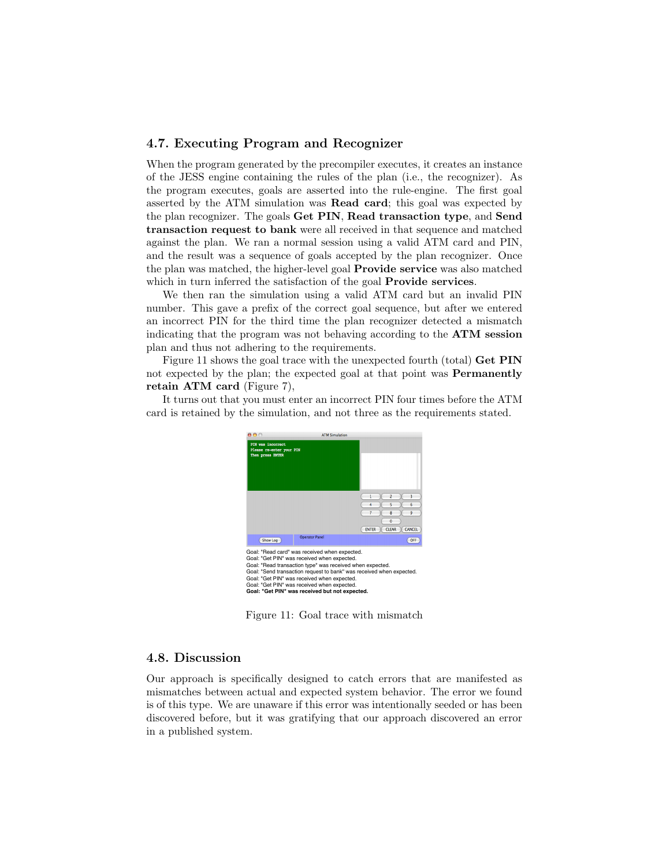#### 4.7. Executing Program and Recognizer

When the program generated by the precompiler executes, it creates an instance of the JESS engine containing the rules of the plan (i.e., the recognizer). As the program executes, goals are asserted into the rule-engine. The first goal asserted by the ATM simulation was Read card; this goal was expected by the plan recognizer. The goals Get PIN, Read transaction type, and Send transaction request to bank were all received in that sequence and matched against the plan. We ran a normal session using a valid ATM card and PIN, and the result was a sequence of goals accepted by the plan recognizer. Once the plan was matched, the higher-level goal Provide service was also matched which in turn inferred the satisfaction of the goal **Provide services**.

We then ran the simulation using a valid ATM card but an invalid PIN number. This gave a prefix of the correct goal sequence, but after we entered an incorrect PIN for the third time the plan recognizer detected a mismatch indicating that the program was not behaving according to the ATM session plan and thus not adhering to the requirements.

Figure 11 shows the goal trace with the unexpected fourth (total) Get PIN not expected by the plan; the expected goal at that point was Permanently retain ATM card (Figure 7),

It turns out that you must enter an incorrect PIN four times before the ATM card is retained by the simulation, and not three as the requirements stated.



Figure 11: Goal trace with mismatch

#### 4.8. Discussion

Our approach is specifically designed to catch errors that are manifested as mismatches between actual and expected system behavior. The error we found is of this type. We are unaware if this error was intentionally seeded or has been discovered before, but it was gratifying that our approach discovered an error in a published system.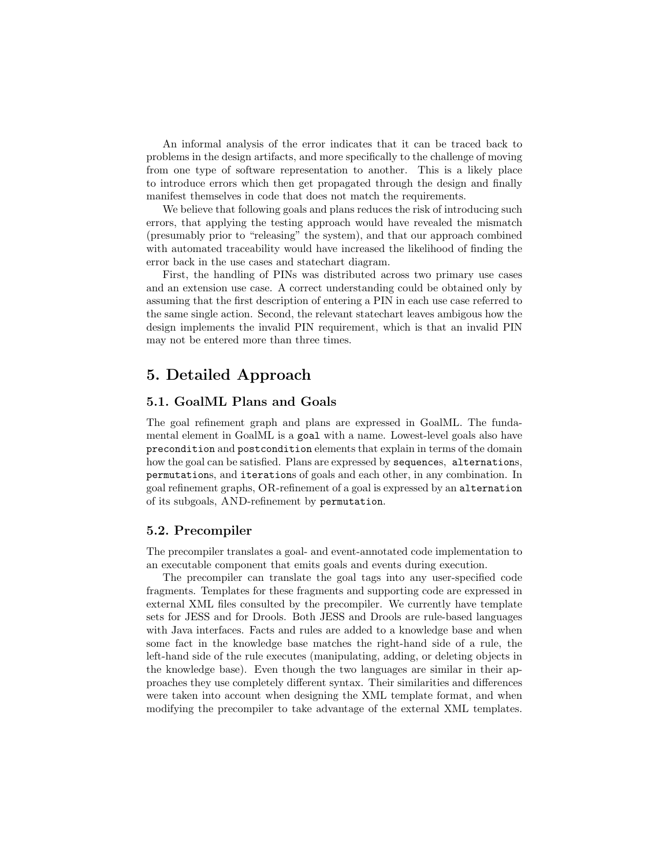An informal analysis of the error indicates that it can be traced back to problems in the design artifacts, and more specifically to the challenge of moving from one type of software representation to another. This is a likely place to introduce errors which then get propagated through the design and finally manifest themselves in code that does not match the requirements.

We believe that following goals and plans reduces the risk of introducing such errors, that applying the testing approach would have revealed the mismatch (presumably prior to "releasing" the system), and that our approach combined with automated traceability would have increased the likelihood of finding the error back in the use cases and statechart diagram.

First, the handling of PINs was distributed across two primary use cases and an extension use case. A correct understanding could be obtained only by assuming that the first description of entering a PIN in each use case referred to the same single action. Second, the relevant statechart leaves ambigous how the design implements the invalid PIN requirement, which is that an invalid PIN may not be entered more than three times.

## 5. Detailed Approach

#### 5.1. GoalML Plans and Goals

The goal refinement graph and plans are expressed in GoalML. The fundamental element in GoalML is a goal with a name. Lowest-level goals also have precondition and postcondition elements that explain in terms of the domain how the goal can be satisfied. Plans are expressed by sequences, alternations, permutations, and iterations of goals and each other, in any combination. In goal refinement graphs, OR-refinement of a goal is expressed by an alternation of its subgoals, AND-refinement by permutation.

#### 5.2. Precompiler

The precompiler translates a goal- and event-annotated code implementation to an executable component that emits goals and events during execution.

The precompiler can translate the goal tags into any user-specified code fragments. Templates for these fragments and supporting code are expressed in external XML files consulted by the precompiler. We currently have template sets for JESS and for Drools. Both JESS and Drools are rule-based languages with Java interfaces. Facts and rules are added to a knowledge base and when some fact in the knowledge base matches the right-hand side of a rule, the left-hand side of the rule executes (manipulating, adding, or deleting objects in the knowledge base). Even though the two languages are similar in their approaches they use completely different syntax. Their similarities and differences were taken into account when designing the XML template format, and when modifying the precompiler to take advantage of the external XML templates.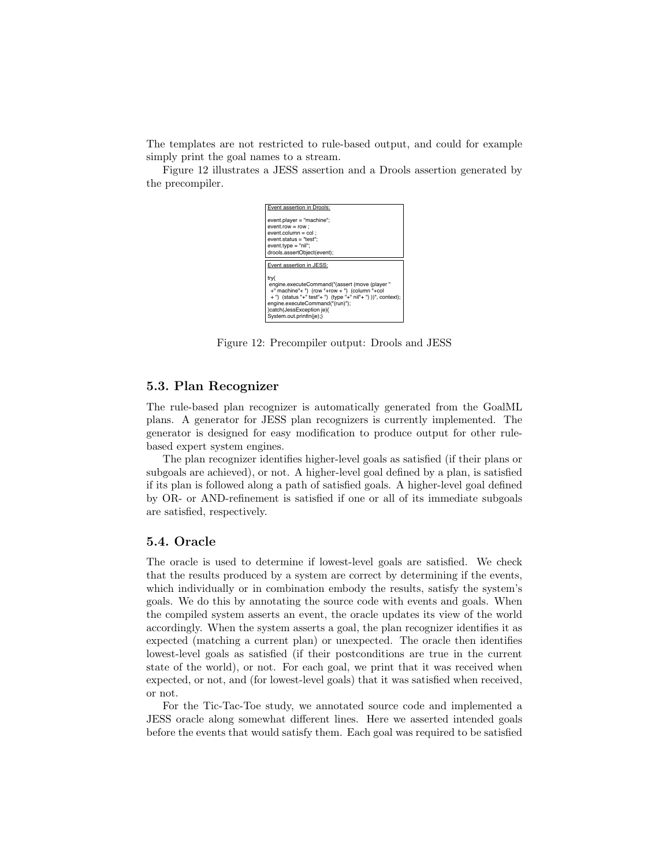The templates are not restricted to rule-based output, and could for example simply print the goal names to a stream.

Figure 12 illustrates a JESS assertion and a Drools assertion generated by the precompiler.



Figure 12: Precompiler output: Drools and JESS

#### 5.3. Plan Recognizer

The rule-based plan recognizer is automatically generated from the GoalML plans. A generator for JESS plan recognizers is currently implemented. The generator is designed for easy modification to produce output for other rulebased expert system engines.

The plan recognizer identifies higher-level goals as satisfied (if their plans or subgoals are achieved), or not. A higher-level goal defined by a plan, is satisfied if its plan is followed along a path of satisfied goals. A higher-level goal defined by OR- or AND-refinement is satisfied if one or all of its immediate subgoals are satisfied, respectively.

#### 5.4. Oracle

The oracle is used to determine if lowest-level goals are satisfied. We check that the results produced by a system are correct by determining if the events, which individually or in combination embody the results, satisfy the system's goals. We do this by annotating the source code with events and goals. When the compiled system asserts an event, the oracle updates its view of the world accordingly. When the system asserts a goal, the plan recognizer identifies it as expected (matching a current plan) or unexpected. The oracle then identifies lowest-level goals as satisfied (if their postconditions are true in the current state of the world), or not. For each goal, we print that it was received when expected, or not, and (for lowest-level goals) that it was satisfied when received, or not.

For the Tic-Tac-Toe study, we annotated source code and implemented a JESS oracle along somewhat different lines. Here we asserted intended goals before the events that would satisfy them. Each goal was required to be satisfied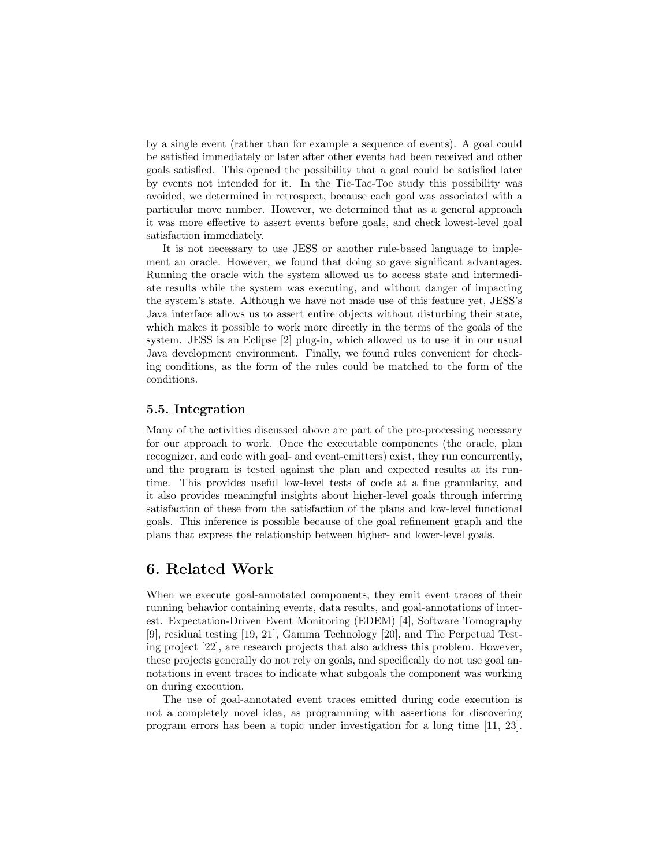by a single event (rather than for example a sequence of events). A goal could be satisfied immediately or later after other events had been received and other goals satisfied. This opened the possibility that a goal could be satisfied later by events not intended for it. In the Tic-Tac-Toe study this possibility was avoided, we determined in retrospect, because each goal was associated with a particular move number. However, we determined that as a general approach it was more effective to assert events before goals, and check lowest-level goal satisfaction immediately.

It is not necessary to use JESS or another rule-based language to implement an oracle. However, we found that doing so gave significant advantages. Running the oracle with the system allowed us to access state and intermediate results while the system was executing, and without danger of impacting the system's state. Although we have not made use of this feature yet, JESS's Java interface allows us to assert entire objects without disturbing their state, which makes it possible to work more directly in the terms of the goals of the system. JESS is an Eclipse [2] plug-in, which allowed us to use it in our usual Java development environment. Finally, we found rules convenient for checking conditions, as the form of the rules could be matched to the form of the conditions.

#### 5.5. Integration

Many of the activities discussed above are part of the pre-processing necessary for our approach to work. Once the executable components (the oracle, plan recognizer, and code with goal- and event-emitters) exist, they run concurrently, and the program is tested against the plan and expected results at its runtime. This provides useful low-level tests of code at a fine granularity, and it also provides meaningful insights about higher-level goals through inferring satisfaction of these from the satisfaction of the plans and low-level functional goals. This inference is possible because of the goal refinement graph and the plans that express the relationship between higher- and lower-level goals.

## 6. Related Work

When we execute goal-annotated components, they emit event traces of their running behavior containing events, data results, and goal-annotations of interest. Expectation-Driven Event Monitoring (EDEM) [4], Software Tomography [9], residual testing [19, 21], Gamma Technology [20], and The Perpetual Testing project [22], are research projects that also address this problem. However, these projects generally do not rely on goals, and specifically do not use goal annotations in event traces to indicate what subgoals the component was working on during execution.

The use of goal-annotated event traces emitted during code execution is not a completely novel idea, as programming with assertions for discovering program errors has been a topic under investigation for a long time [11, 23].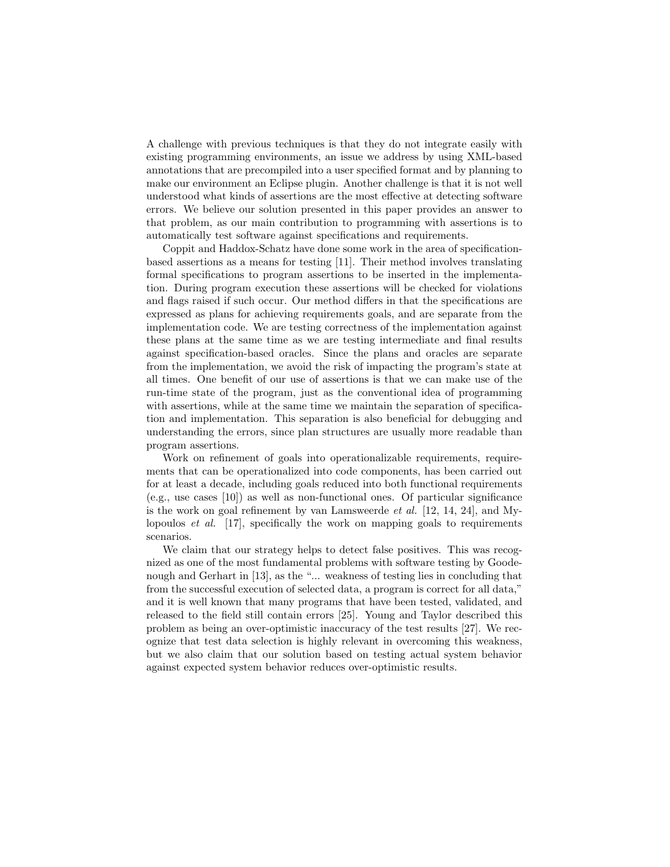A challenge with previous techniques is that they do not integrate easily with existing programming environments, an issue we address by using XML-based annotations that are precompiled into a user specified format and by planning to make our environment an Eclipse plugin. Another challenge is that it is not well understood what kinds of assertions are the most effective at detecting software errors. We believe our solution presented in this paper provides an answer to that problem, as our main contribution to programming with assertions is to automatically test software against specifications and requirements.

Coppit and Haddox-Schatz have done some work in the area of specificationbased assertions as a means for testing [11]. Their method involves translating formal specifications to program assertions to be inserted in the implementation. During program execution these assertions will be checked for violations and flags raised if such occur. Our method differs in that the specifications are expressed as plans for achieving requirements goals, and are separate from the implementation code. We are testing correctness of the implementation against these plans at the same time as we are testing intermediate and final results against specification-based oracles. Since the plans and oracles are separate from the implementation, we avoid the risk of impacting the program's state at all times. One benefit of our use of assertions is that we can make use of the run-time state of the program, just as the conventional idea of programming with assertions, while at the same time we maintain the separation of specification and implementation. This separation is also beneficial for debugging and understanding the errors, since plan structures are usually more readable than program assertions.

Work on refinement of goals into operationalizable requirements, requirements that can be operationalized into code components, has been carried out for at least a decade, including goals reduced into both functional requirements (e.g., use cases [10]) as well as non-functional ones. Of particular significance is the work on goal refinement by van Lamsweerde et al. [12, 14, 24], and Mylopoulos et al. [17], specifically the work on mapping goals to requirements scenarios.

We claim that our strategy helps to detect false positives. This was recognized as one of the most fundamental problems with software testing by Goodenough and Gerhart in [13], as the "... weakness of testing lies in concluding that from the successful execution of selected data, a program is correct for all data," and it is well known that many programs that have been tested, validated, and released to the field still contain errors [25]. Young and Taylor described this problem as being an over-optimistic inaccuracy of the test results [27]. We recognize that test data selection is highly relevant in overcoming this weakness, but we also claim that our solution based on testing actual system behavior against expected system behavior reduces over-optimistic results.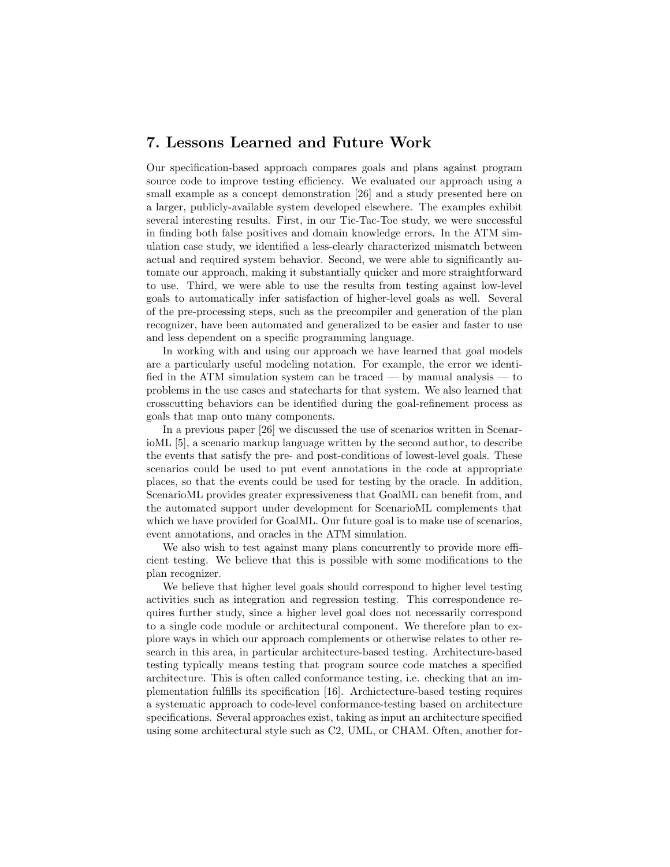## 7. Lessons Learned and Future Work

Our specification-based approach compares goals and plans against program source code to improve testing efficiency. We evaluated our approach using a small example as a concept demonstration [26] and a study presented here on a larger, publicly-available system developed elsewhere. The examples exhibit several interesting results. First, in our Tic-Tac-Toe study, we were successful in finding both false positives and domain knowledge errors. In the ATM simulation case study, we identified a less-clearly characterized mismatch between actual and required system behavior. Second, we were able to significantly automate our approach, making it substantially quicker and more straightforward to use. Third, we were able to use the results from testing against low-level goals to automatically infer satisfaction of higher-level goals as well. Several of the pre-processing steps, such as the precompiler and generation of the plan recognizer, have been automated and generalized to be easier and faster to use and less dependent on a specific programming language.

In working with and using our approach we have learned that goal models are a particularly useful modeling notation. For example, the error we identified in the ATM simulation system can be traced — by manual analysis — to problems in the use cases and statecharts for that system. We also learned that crosscutting behaviors can be identified during the goal-refinement process as goals that map onto many components.

In a previous paper [26] we discussed the use of scenarios written in ScenarioML [5], a scenario markup language written by the second author, to describe the events that satisfy the pre- and post-conditions of lowest-level goals. These scenarios could be used to put event annotations in the code at appropriate places, so that the events could be used for testing by the oracle. In addition, ScenarioML provides greater expressiveness that GoalML can benefit from, and the automated support under development for ScenarioML complements that which we have provided for GoalML. Our future goal is to make use of scenarios, event annotations, and oracles in the ATM simulation.

We also wish to test against many plans concurrently to provide more efficient testing. We believe that this is possible with some modifications to the plan recognizer.

We believe that higher level goals should correspond to higher level testing activities such as integration and regression testing. This correspondence requires further study, since a higher level goal does not necessarily correspond to a single code module or architectural component. We therefore plan to explore ways in which our approach complements or otherwise relates to other research in this area, in particular architecture-based testing. Architecture-based testing typically means testing that program source code matches a specified architecture. This is often called conformance testing, i.e. checking that an implementation fulfills its specification [16]. Archictecture-based testing requires a systematic approach to code-level conformance-testing based on architecture specifications. Several approaches exist, taking as input an architecture specified using some architectural style such as C2, UML, or CHAM. Often, another for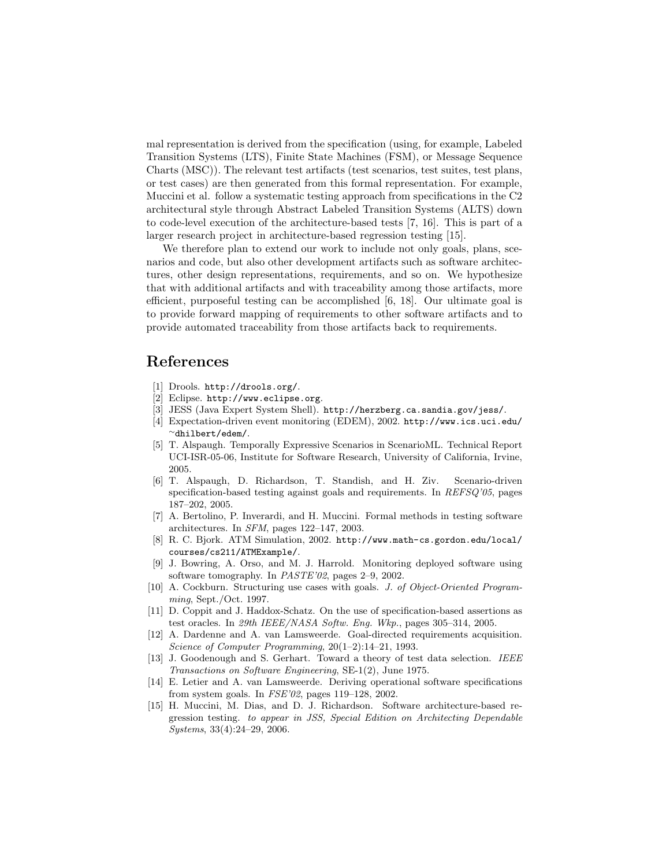mal representation is derived from the specification (using, for example, Labeled Transition Systems (LTS), Finite State Machines (FSM), or Message Sequence Charts (MSC)). The relevant test artifacts (test scenarios, test suites, test plans, or test cases) are then generated from this formal representation. For example, Muccini et al. follow a systematic testing approach from specifications in the C2 architectural style through Abstract Labeled Transition Systems (ALTS) down to code-level execution of the architecture-based tests [7, 16]. This is part of a larger research project in architecture-based regression testing [15].

We therefore plan to extend our work to include not only goals, plans, scenarios and code, but also other development artifacts such as software architectures, other design representations, requirements, and so on. We hypothesize that with additional artifacts and with traceability among those artifacts, more efficient, purposeful testing can be accomplished [6, 18]. Our ultimate goal is to provide forward mapping of requirements to other software artifacts and to provide automated traceability from those artifacts back to requirements.

## References

- [1] Drools. http://drools.org/.
- [2] Eclipse. http://www.eclipse.org.
- [3] JESS (Java Expert System Shell). http://herzberg.ca.sandia.gov/jess/.
- [4] Expectation-driven event monitoring (EDEM), 2002. http://www.ics.uci.edu/ <sup>∼</sup>dhilbert/edem/.
- [5] T. Alspaugh. Temporally Expressive Scenarios in ScenarioML. Technical Report UCI-ISR-05-06, Institute for Software Research, University of California, Irvine, 2005.
- [6] T. Alspaugh, D. Richardson, T. Standish, and H. Ziv. Scenario-driven specification-based testing against goals and requirements. In REFSQ'05, pages 187–202, 2005.
- [7] A. Bertolino, P. Inverardi, and H. Muccini. Formal methods in testing software architectures. In SFM, pages 122–147, 2003.
- [8] R. C. Bjork. ATM Simulation, 2002. http://www.math-cs.gordon.edu/local/ courses/cs211/ATMExample/.
- [9] J. Bowring, A. Orso, and M. J. Harrold. Monitoring deployed software using software tomography. In PASTE'02, pages 2–9, 2002.
- [10] A. Cockburn. Structuring use cases with goals. J. of Object-Oriented Programming, Sept./Oct. 1997.
- [11] D. Coppit and J. Haddox-Schatz. On the use of specification-based assertions as test oracles. In 29th IEEE/NASA Softw. Eng. Wkp., pages 305–314, 2005.
- [12] A. Dardenne and A. van Lamsweerde. Goal-directed requirements acquisition. Science of Computer Programming, 20(1–2):14–21, 1993.
- [13] J. Goodenough and S. Gerhart. Toward a theory of test data selection. IEEE Transactions on Software Engineering, SE-1(2), June 1975.
- [14] E. Letier and A. van Lamsweerde. Deriving operational software specifications from system goals. In FSE'02, pages 119–128, 2002.
- [15] H. Muccini, M. Dias, and D. J. Richardson. Software architecture-based regression testing. to appear in JSS, Special Edition on Architecting Dependable Systems, 33(4):24–29, 2006.